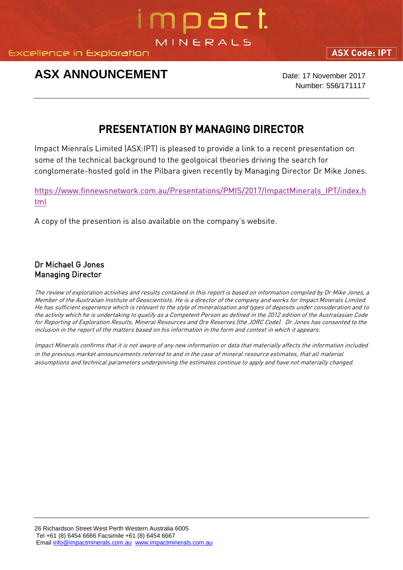**Excellence in Exploration** 

## **ASX ANNOUNCEMENT** Date: 17 November 2017

Number: 556/171117

**ASX Code: IPT** 

## PRESENTATION BY MANAGING DIRECTOR

impact

MINERALS

Impact Mienrals Limited (ASX:IPT) is pleased to provide a link to a recent presentation on some of the technical background to the geolgoical theories driving the search for conglomerate-hosted gold in the Pilbara given recently by Managing Director Dr Mike Jones.

[https://www.finnewsnetwork.com.au/Presentations/PMIS/2017/ImpactMinerals\\_IPT/index.h](https://www.finnewsnetwork.com.au/Presentations/PMIS/2017/ImpactMinerals_IPT/index.html) [tml](https://www.finnewsnetwork.com.au/Presentations/PMIS/2017/ImpactMinerals_IPT/index.html)

A copy of the presention is also available on the company's website.

Dr Michael G Jones Managing Director

The review of exploration activities and results contained in this report is based on information compiled by Dr Mike Jones, a Member of the Australian Institute of Geoscientists. He is a director of the company and works for Impact Minerals Limited. He has sufficient experience which is relevant to the style of mineralisation and types of deposits under consideration and to the activity which he is undertaking to qualify as a Competent Person as defined in the 2012 edition of the Australasian Code for Reporting of Exploration Results, Mineral Resources and Ore Reserves (the JORC Code). Dr Jones has consented to the inclusion in the report of the matters based on his information in the form and context in which it appears.

Impact Minerals confirms that it is not aware of any new information or data that materially affects the information included in the previous market announcements referred to and in the case of mineral resource estimates, that all material assumptions and technical parameters underpinning the estimates continue to apply and have not materially changed.